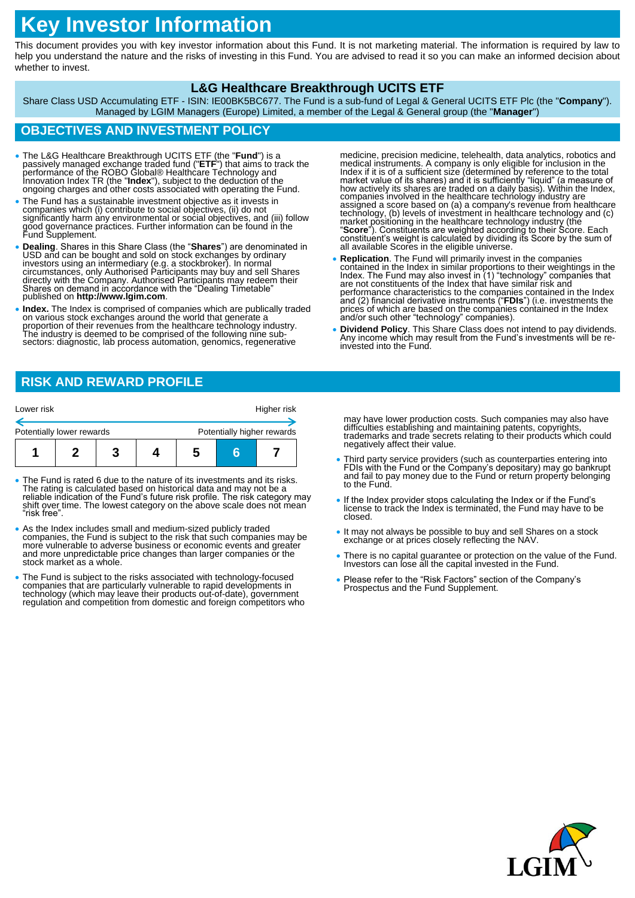# **Key Investor Information**

This document provides you with key investor information about this Fund. It is not marketing material. The information is required by law to help you understand the nature and the risks of investing in this Fund. You are advised to read it so you can make an informed decision about whether to invest.

#### **L&G Healthcare Breakthrough UCITS ETF**

Share Class USD Accumulating ETF - ISIN: IE00BK5BC677. The Fund is a sub-fund of Legal & General UCITS ETF Plc (the "**Company**"). Managed by LGIM Managers (Europe) Limited, a member of the Legal & General group (the "**Manager**")

# **OBJECTIVES AND INVESTMENT POLICY**

- The L&G Healthcare Breakthrough UCITS ETF (the "**Fund**") is a passively managed exchange traded fund ("ETF") that aims to track the performance of the ROBO Global® Healthcare Technology and Innovation Index TR (the "Inde
- The Fund has a sustainable investment objective as it invests in companies which (i) contribute to social objectives, (ii) do not significantly harm any environmental or social objectives, and (iii) follow good governance practices. Further information can be found in the Fund Supplement.
- **Dealing**. Shares in this Share Class (the "**Shares**") are denominated in USD and can be bought and sold on stock exchanges by ordinary investors using an intermediary (e.g. a stockbroker). In normal circumstances, only
- **Index.** The Index is comprised of companies which are publically traded on various stock exchanges around the world that generate a proportion of their revenues from the healthcare technology industry. The industry is deemed to be comprised of the following nine subsectors: diagnostic, lab process automation, genomics, regenerative

medicine, precision medicine, telehealth, data analytics, robotics and medical instruments. A company is only eligible for inclusion in the<br>Index if it is of a sufficient size (determined by reference to the total<br>market value of its shares) and it is sufficiently "liquid" (a measure of<br>how a companies involved in the healthcare technology industry are<br>assigned a score based on (a) a company's revenue from healthcare<br>technology, (b) levels of investment in healthcare technology and (c)<br>market positioning in the all available Scores in the eligible universe.

- Replication. The Fund will primarily invest in the companies<br>contained in the Index in similar proportions to their weightings in the<br>Index. The Fund may also invest in (1) "technology" companies that<br>are not constituent performance characteristics to the companies contained in the Index and (2) financial derivative instruments ("**FDIs**") (i.e. investments the prices of which are based on the companies contained in the Index and/or such other "technology" companies).
- **Dividend Policy**. This Share Class does not intend to pay dividends. Any income which may result from the Fund's investments will be reinvested into the Fund.

## **RISK AND REWARD PROFILE**

| Lower risk                |  |                            | Higher risk |
|---------------------------|--|----------------------------|-------------|
| Potentially lower rewards |  | Potentially higher rewards |             |
|                           |  |                            |             |

- The Fund is rated 6 due to the nature of its investments and its risks. The rating is calculated based on historical data and may not be a reliable indication of the Fund's future risk profile. The risk category may shift over time. The lowest category on the above scale does not mean "risk free".
- As the Index includes small and medium-sized publicly traded companies, the Fund is subject to the risk that such companies may be more vulnerable to adverse business or economic events and greater and more unpredictable price changes than larger companies or the stock market as a whole.
- The Fund is subject to the risks associated with technology-focused companies that are particularly vulnerable to rapid developments in<br>technology (which may leave their products out-of-date), government<br>regulation and competition from domestic and foreign competitors who

may have lower production costs. Such companies may also have difficulties establishing and maintaining patents, copyrights, trademarks and trade secrets relating to their products which could negatively affect their value.

- Third party service providers (such as counterparties entering into FDIs with the Fund or the Company's depositary) may go bankrupt and fail to pay money due to the Fund or return property belonging to the Fund.
- If the Index provider stops calculating the Index or if the Fund's license to track the Index is terminated, the Fund may have to be closed.
- It may not always be possible to buy and sell Shares on a stock exchange or at prices closely reflecting the NAV.
- There is no capital guarantee or protection on the value of the Fund. Investors can lose all the capital invested in the Fund.
- Please refer to the "Risk Factors" section of the Company's Prospectus and the Fund Supplement.